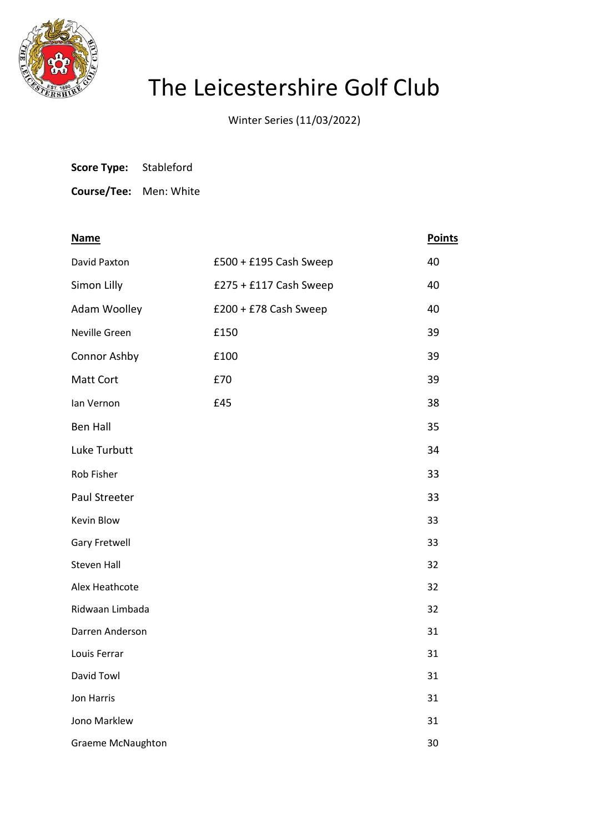

## The Leicestershire Golf Club

Winter Series (11/03/2022)

| Score Type: | Stableford |
|-------------|------------|
|-------------|------------|

**Course/Tee:** Men: White

| <b>Name</b>        |                        | <b>Points</b> |
|--------------------|------------------------|---------------|
| David Paxton       | £500 + £195 Cash Sweep | 40            |
| Simon Lilly        | £275 + £117 Cash Sweep | 40            |
| Adam Woolley       | £200 + £78 Cash Sweep  | 40            |
| Neville Green      | £150                   | 39            |
| Connor Ashby       | £100                   | 39            |
| Matt Cort          | £70                    | 39            |
| lan Vernon         | £45                    | 38            |
| <b>Ben Hall</b>    |                        | 35            |
| Luke Turbutt       |                        | 34            |
| Rob Fisher         |                        | 33            |
| Paul Streeter      |                        | 33            |
| Kevin Blow         |                        | 33            |
| Gary Fretwell      |                        | 33            |
| <b>Steven Hall</b> |                        | 32            |
| Alex Heathcote     |                        | 32            |
| Ridwaan Limbada    |                        | 32            |
| Darren Anderson    |                        | 31            |
| Louis Ferrar       |                        | 31            |
| David Towl         |                        | 31            |
| Jon Harris         |                        | 31            |
| Jono Marklew       |                        | 31            |
| Graeme McNaughton  |                        | 30            |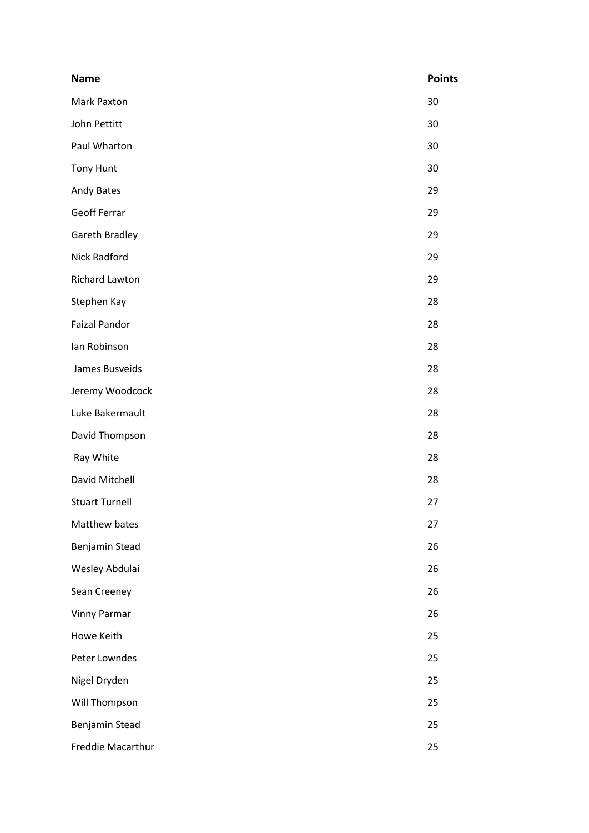| <b>Name</b>           | <b>Points</b> |
|-----------------------|---------------|
| Mark Paxton           | 30            |
| John Pettitt          | 30            |
| Paul Wharton          | 30            |
| <b>Tony Hunt</b>      | 30            |
| Andy Bates            | 29            |
| <b>Geoff Ferrar</b>   | 29            |
| Gareth Bradley        | 29            |
| <b>Nick Radford</b>   | 29            |
| Richard Lawton        | 29            |
| Stephen Kay           | 28            |
| <b>Faizal Pandor</b>  | 28            |
| lan Robinson          | 28            |
| James Busveids        | 28            |
| Jeremy Woodcock       | 28            |
| Luke Bakermault       | 28            |
| David Thompson        | 28            |
| Ray White             | 28            |
| David Mitchell        | 28            |
| <b>Stuart Turnell</b> | 27            |
| Matthew bates         | 27            |
| Benjamin Stead        | 26            |
| Wesley Abdulai        | 26            |
| Sean Creeney          | 26            |
| <b>Vinny Parmar</b>   | 26            |
| Howe Keith            | 25            |
| Peter Lowndes         | 25            |
| Nigel Dryden          | 25            |
| Will Thompson         | 25            |
| Benjamin Stead        | 25            |
| Freddie Macarthur     | 25            |